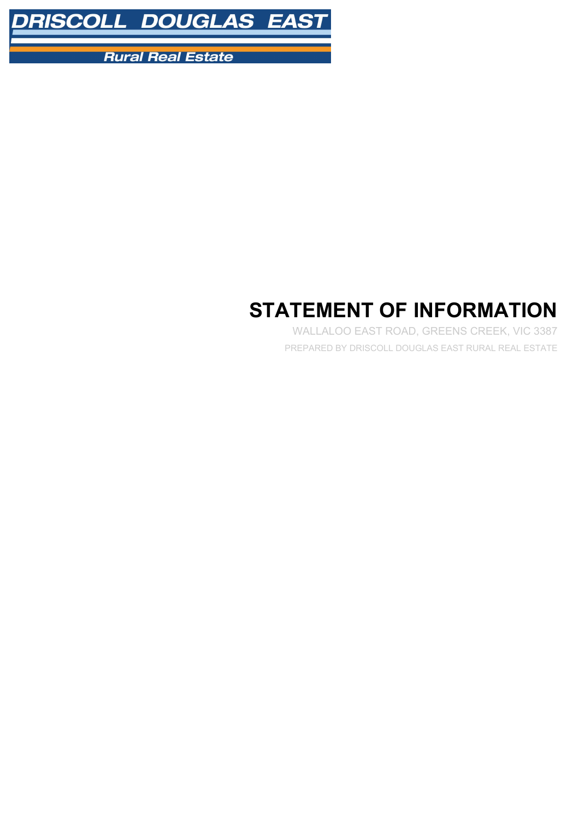

**Rural Real Estate** 

# **STATEMENT OF INFORMATION**

WALLALOO EAST ROAD, GREENS CREEK, VIC 3387 PREPARED BY DRISCOLL DOUGLAS EAST RURAL REAL ESTATE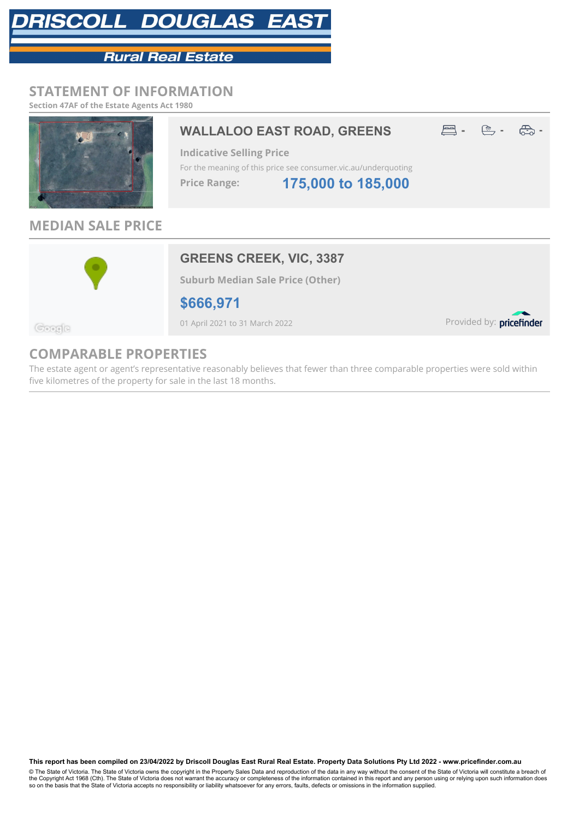# RISCOLL DOUGLAS EAS

# **Rural Real Estate**

### **STATEMENT OF INFORMATION**

**Section 47AF of the Estate Agents Act 1980**



## **MEDIAN SALE PRICE**



**Suburb Median Sale Price (Other)**

**\$666,971**

01 April 2021 to 31 March 2022

Provided by: pricefinder

Google

## **COMPARABLE PROPERTIES**

The estate agent or agent's representative reasonably believes that fewer than three comparable properties were sold within five kilometres of the property for sale in the last 18 months.

**This report has been compiled on 23/04/2022 by Driscoll Douglas East Rural Real Estate. Property Data Solutions Pty Ltd 2022 - www.pricefinder.com.au**

© The State of Victoria. The State of Victoria owns the copyright in the Property Sales Data and reproduction of the data in any way without the consent of the State of Victoria will constitute a breach of<br>the Copyright Ac so on the basis that the State of Victoria accepts no responsibility or liability whatsoever for any errors, faults, defects or omissions in the information supplied.